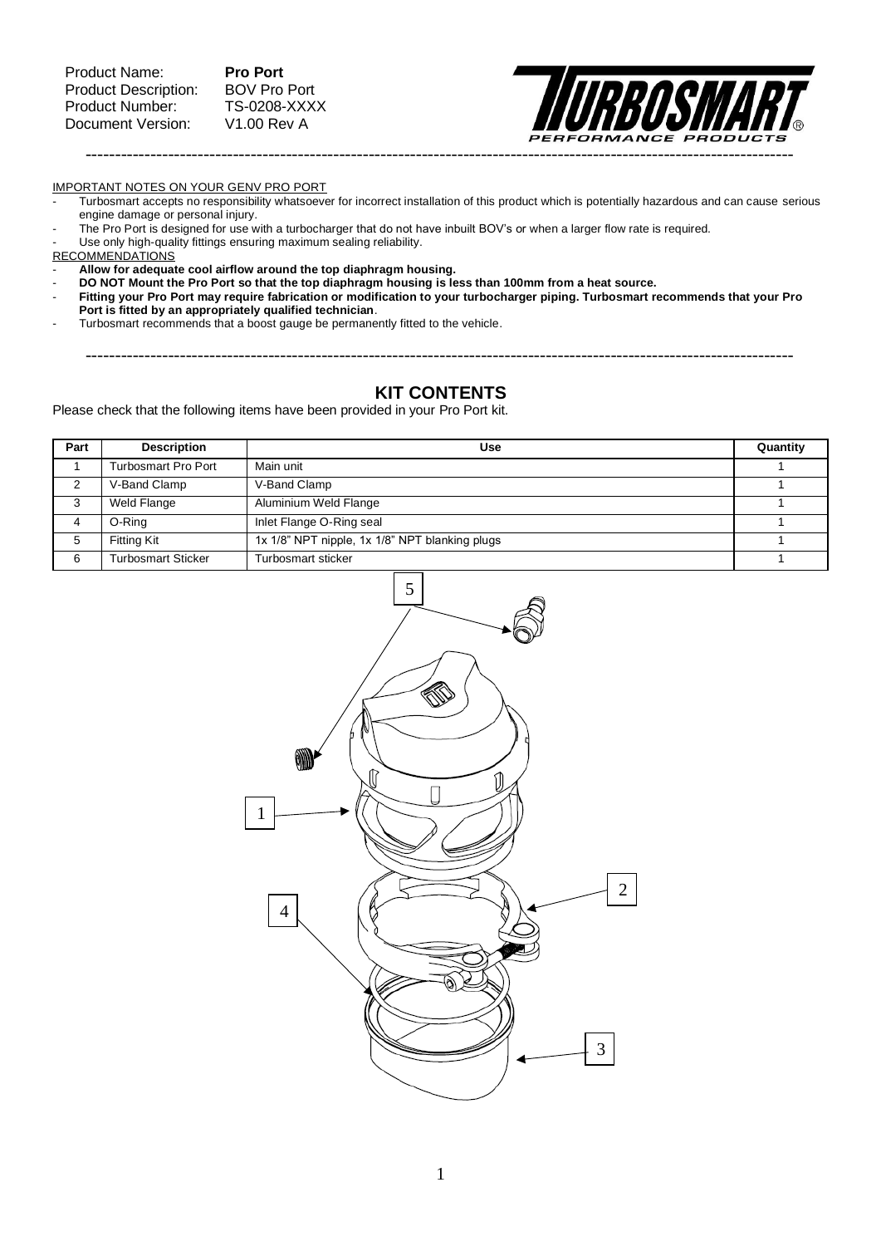

IMPORTANT NOTES ON YOUR GENV PRO PORT

- Turbosmart accepts no responsibility whatsoever for incorrect installation of this product which is potentially hazardous and can cause serious engine damage or personal injury.
- The Pro Port is designed for use with a turbocharger that do not have inbuilt BOV's or when a larger flow rate is required.
- Use only high-quality fittings ensuring maximum sealing reliability.
- RECOMMENDATIONS

- **Allow for adequate cool airflow around the top diaphragm housing.**

- **DO NOT Mount the Pro Port so that the top diaphragm housing is less than 100mm from a heat source.**
- **Fitting your Pro Port may require fabrication or modification to your turbocharger piping. Turbosmart recommends that your Pro Port is fitted by an appropriately qualified technician**.
- Turbosmart recommends that a boost gauge be permanently fitted to the vehicle.

# **KIT CONTENTS**

------------------------------------------------------------------------------------------------------------------------

<span id="page-0-0"></span>Please check that the following items have been provided in your Pro Port kit.

| Part | <b>Description</b>         | Use                                            | Quantity |  |
|------|----------------------------|------------------------------------------------|----------|--|
|      | <b>Turbosmart Pro Port</b> | Main unit                                      |          |  |
|      | V-Band Clamp               | V-Band Clamp                                   |          |  |
| 3    | Weld Flange                | Aluminium Weld Flange                          |          |  |
|      | O-Ring                     | Inlet Flange O-Ring seal                       |          |  |
| 5    | <b>Fitting Kit</b>         | 1x 1/8" NPT nipple, 1x 1/8" NPT blanking plugs |          |  |
| 6    | <b>Turbosmart Sticker</b>  | Turbosmart sticker                             |          |  |

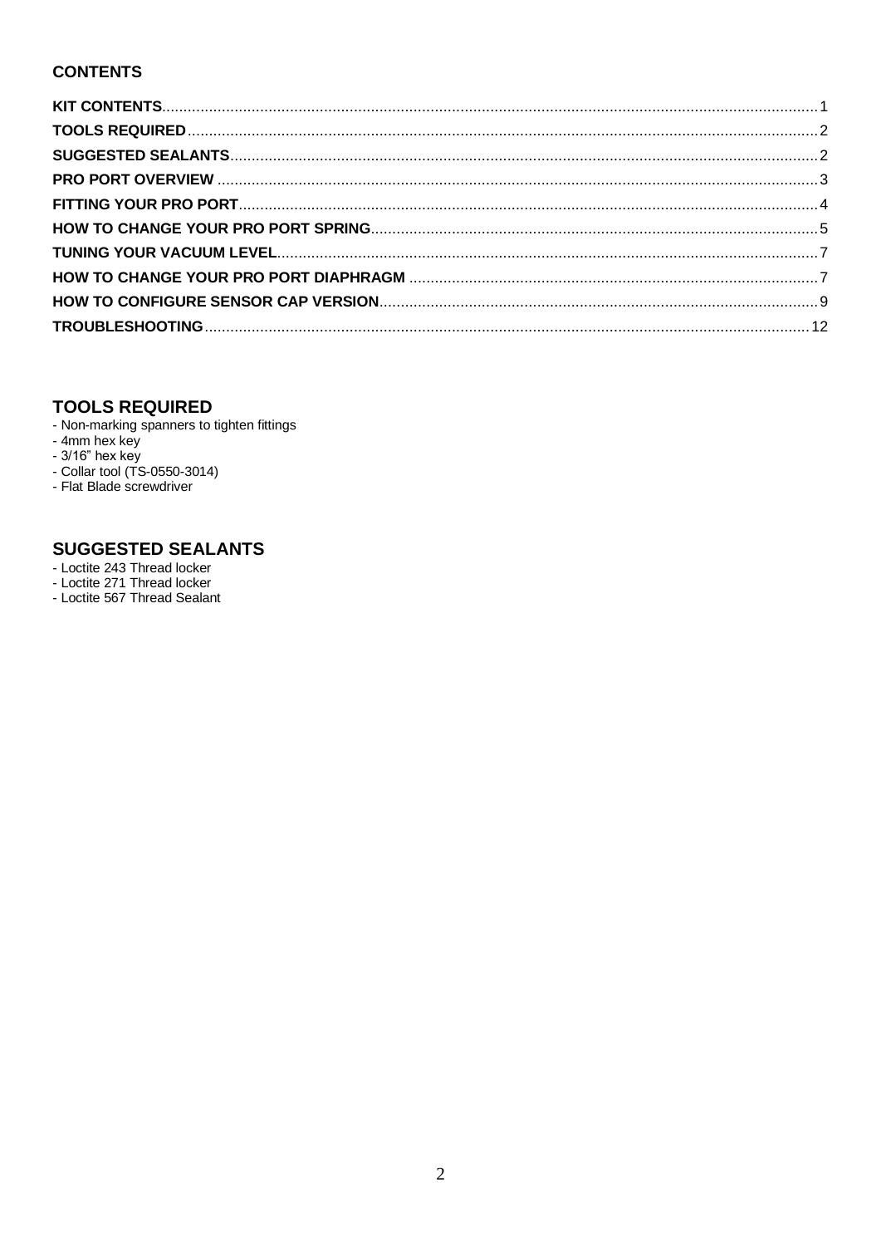# **CONTENTS**

# <span id="page-1-0"></span>**TOOLS REQUIRED**

- Non-marking spanners to tighten fittings
- 
- 
- Non-marking spanners to the<br>- 4mm hex key<br>- 3/16" hex key<br>- Collar tool (TS-0550-3014)
- Flat Blade screwdriver

# <span id="page-1-1"></span>**SUGGESTED SEALANTS**

- Loctite 243 Thread locker
- Loctite 271 Thread locker<br>- Loctite 567 Thread Sealant
-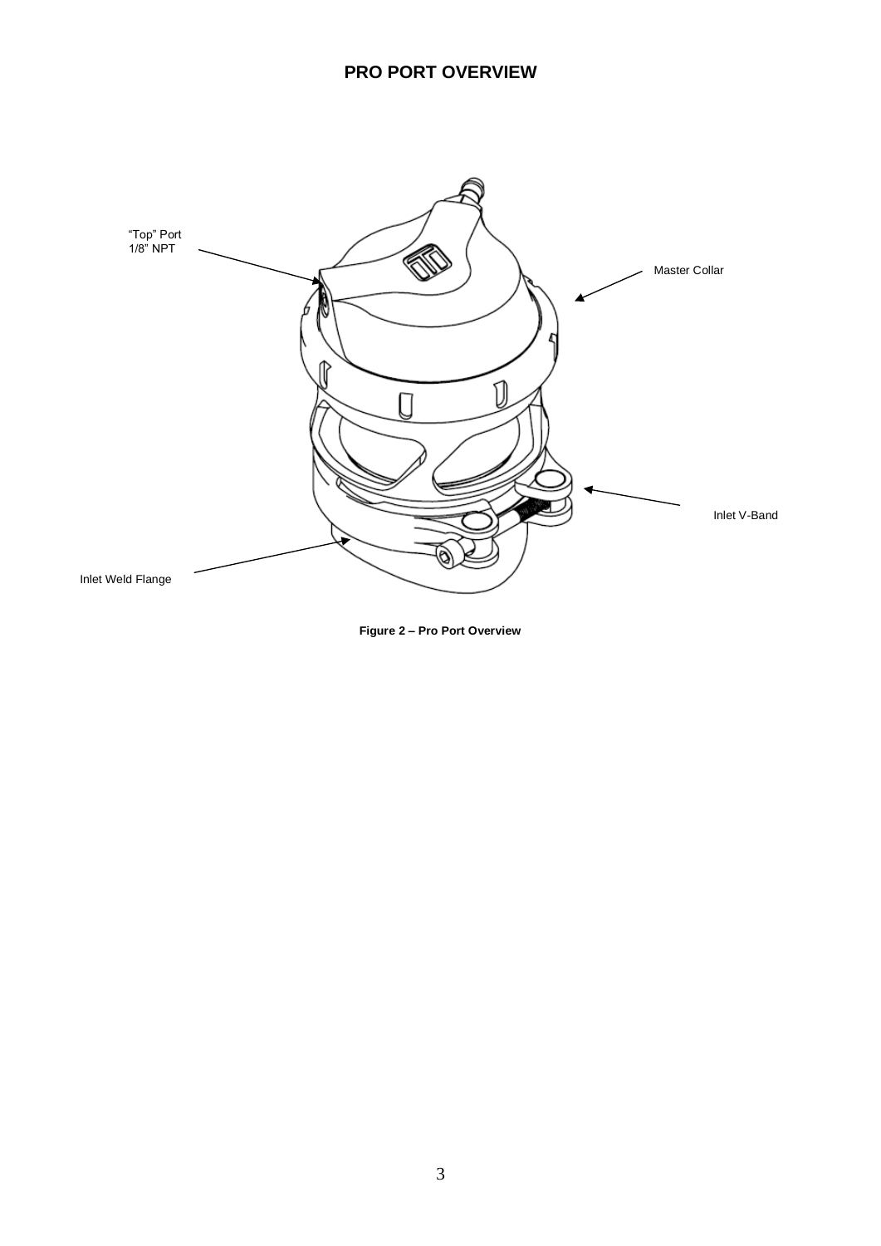<span id="page-2-0"></span>

**Figure 2 – Pro Port Overview**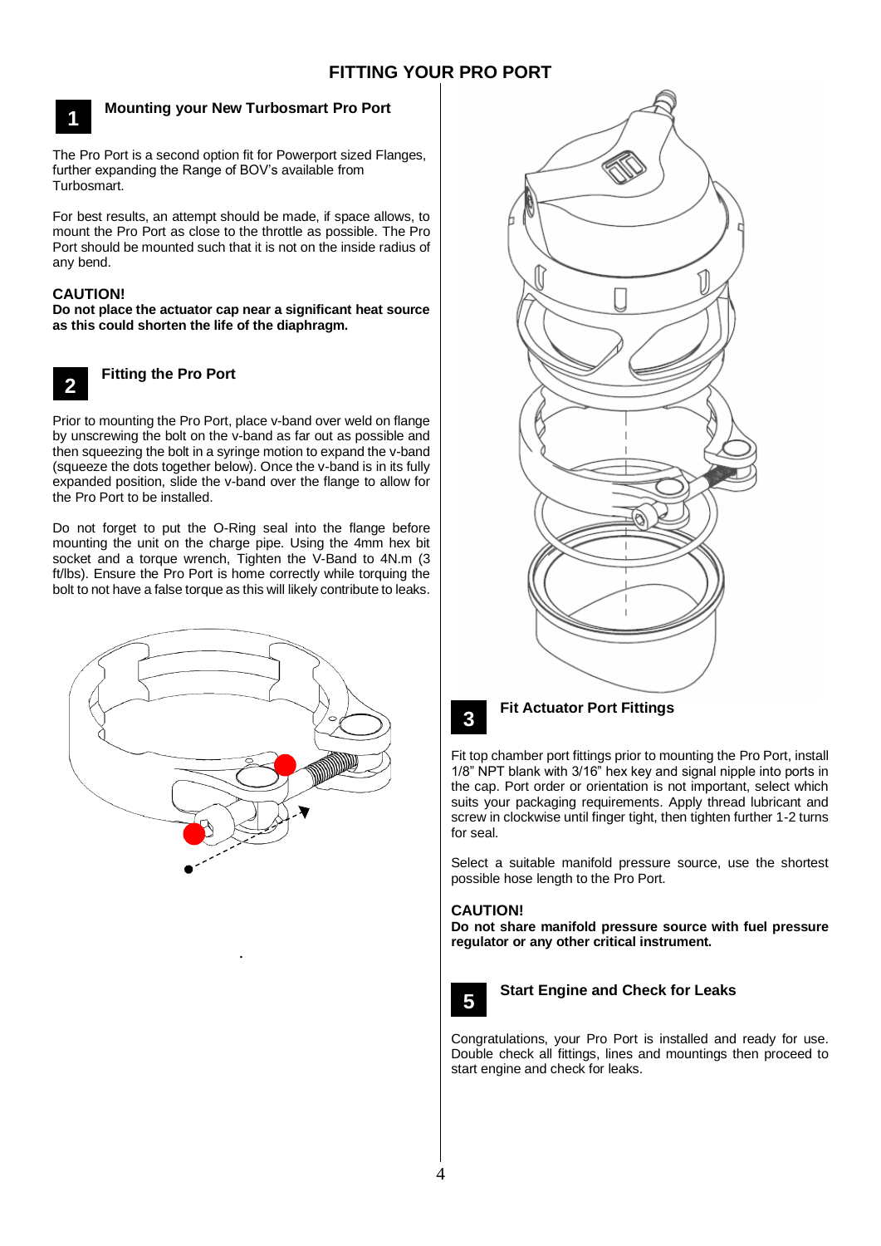<span id="page-3-0"></span>

# **Mounting your New Turbosmart Pro Port**

The Pro Port is a second option fit for Powerport sized Flanges, further expanding the Range of BOV's available from Turbosmart.

For best results, an attempt should be made, if space allows, to mount the Pro Port as close to the throttle as possible. The Pro Port should be mounted such that it is not on the inside radius of any bend.

# **CAUTION!**

**Do not place the actuator cap near a significant heat source as this could shorten the life of the diaphragm.**

**2**

# **Fitting the Pro Port**

Prior to mounting the Pro Port, place v-band over weld on flange **3** by unscrewing the bolt on the v-band as far out as possible and then squeezing the bolt in a syringe motion to expand the v-band (squeeze the dots together below). Once the v-band is in its fully expanded position, slide the v-band over the flange to allow for the Pro Port to be installed.

Do not forget to put the O-Ring seal into the flange before mounting the unit on the charge pipe. Using the 4mm hex bit socket and a torque wrench, Tighten the V-Band to 4N.m (3 ft/lbs). Ensure the Pro Port is home correctly while torquing the bolt to not have a false torque as this will likely contribute to leaks.



.





# **Fit Actuator Port Fittings**

Fit top chamber port fittings prior to mounting the Pro Port, install **3** 1/8" NPT blank with 3/16" hex key and signal nipple into ports in the cap. Port order or orientation is not important, select which suits your packaging requirements. Apply thread lubricant and screw in clockwise until finger tight, then tighten further 1-2 turns for seal.

Select a suitable manifold pressure source, use the shortest possible hose length to the Pro Port.

## **CAUTION!**

**Do not share manifold pressure source with fuel pressure regulator or any other critical instrument.**



**Start Engine and Check for Leaks**

**Congratulations, your Pro Port is installed and ready for use.** Double check all fittings, lines and mountings then proceed to start engine and check for leaks.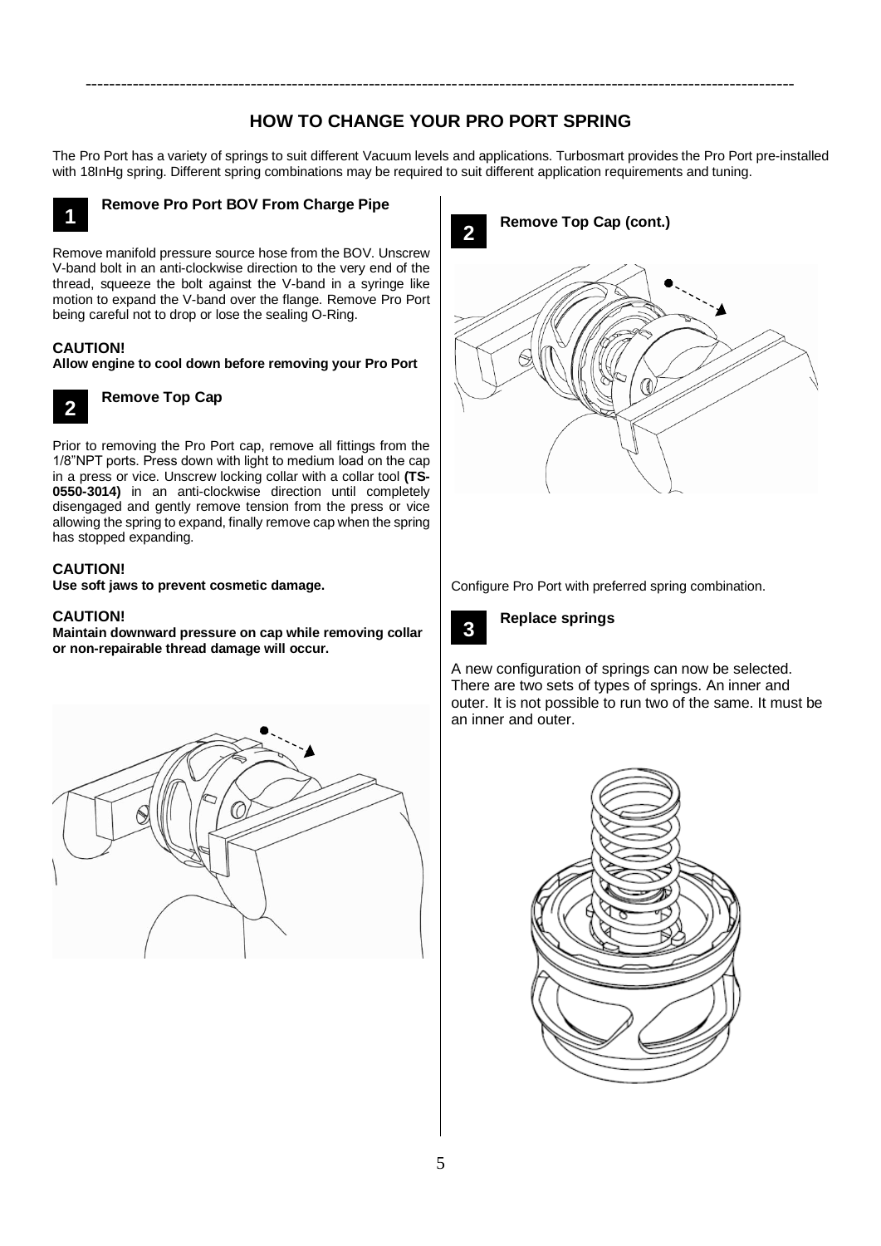# **HOW TO CHANGE YOUR PRO PORT SPRING**

<span id="page-4-0"></span>------------------------------------------------------------------------------------------------------------------------

The Pro Port has a variety of springs to suit different Vacuum levels and applications. Turbosmart provides the Pro Port pre-installed with 18InHg spring. Different spring combinations may be required to suit different application requirements and tuning.



# **Remove Pro Port BOV From Charge Pipe**

Remove manifold pressure source hose from the BOV. Unscrew **3** V-band bolt in an anti-clockwise direction to the very end of the thread, squeeze the bolt against the V-band in a syringe like motion to expand the V-band over the flange. Remove Pro Port being careful not to drop or lose the sealing O-Ring.

#### **CAUTION!**

**Allow engine to cool down before removing your Pro Port**

**2**

**Remove Top Cap**

Prior to removing the Pro Port cap, remove all fittings from the **3** 1/8"NPT ports. Press down with light to medium load on the cap in a press or vice. Unscrew locking collar with a collar tool **(TS-0550-3014)** in an anti-clockwise direction until completely disengaged and gently remove tension from the press or vice allowing the spring to expand, finally remove cap when the spring has stopped expanding.

# **CAUTION!**

**Use soft jaws to prevent cosmetic damage.** 

# **CAUTION!**

**Maintain downward pressure on cap while removing collar or non-repairable thread damage will occur.**





Configure Pro Port with preferred spring combination.



**Replace springs**

A new configuration of springs can now be selected. There are two sets of types of springs. An inner and outer. It is not possible to run two of the same. It must be an inner and outer. **3**

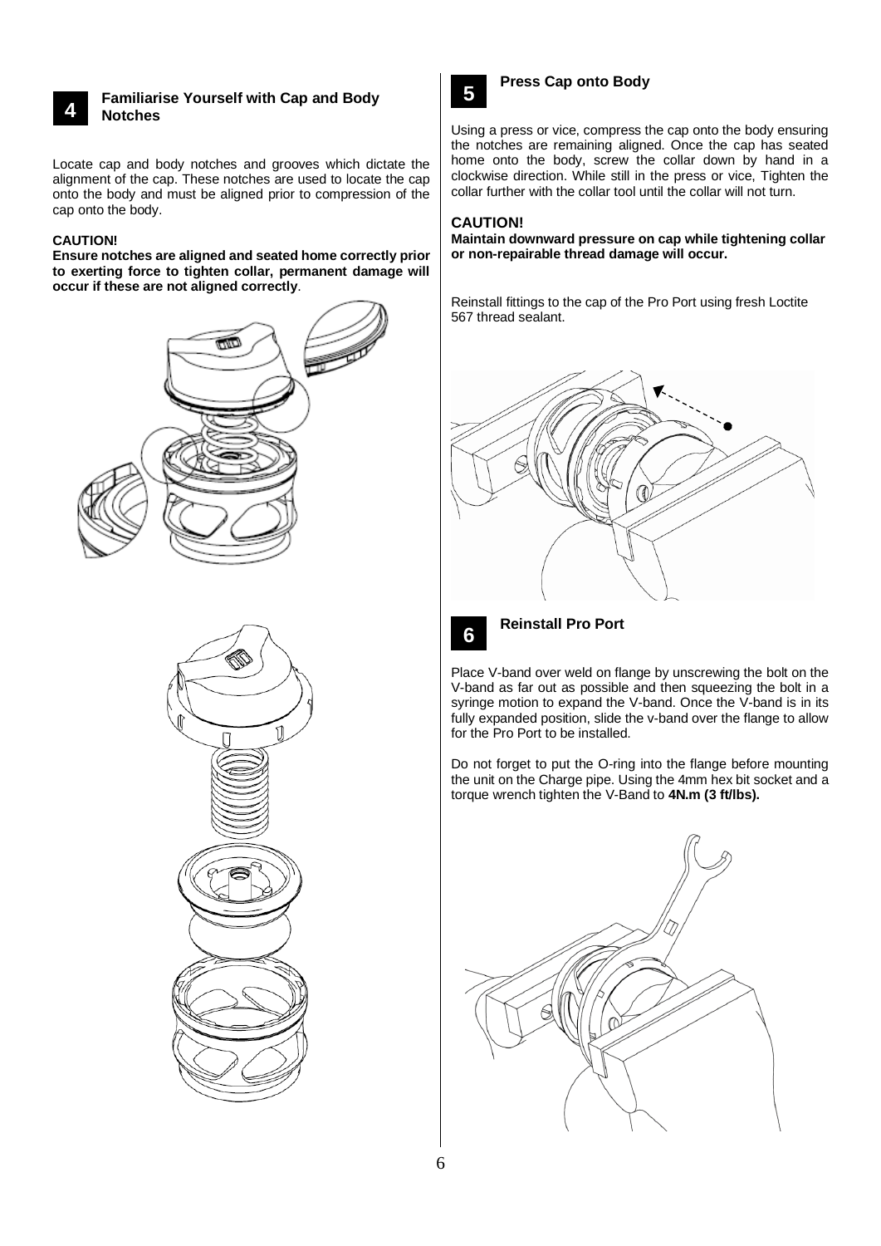# **4 3**

#### **Familiarise Yourself with Cap and Body Notches**

Locate cap and body notches and grooves which dictate the alignment of the cap. These notches are used to locate the cap onto the body and must be aligned prior to compression of the cap onto the body.

### **CAUTION!**

**Ensure notches are aligned and seated home correctly prior to exerting force to tighten collar, permanent damage will occur if these are not aligned correctly**.







# **Press Cap onto Body**

Using a press or vice, compress the cap onto the body ensuring **3** the notches are remaining aligned. Once the cap has seated home onto the body, screw the collar down by hand in a clockwise direction. While still in the press or vice, Tighten the collar further with the collar tool until the collar will not turn.

# **CAUTION!**

**Maintain downward pressure on cap while tightening collar or non-repairable thread damage will occur.**

Reinstall fittings to the cap of the Pro Port using fresh Loctite 567 thread sealant.





**Reinstall Pro Port**

Place V-band over weld on flange by unscrewing the bolt on the **3**V-band as far out as possible and then squeezing the bolt in a syringe motion to expand the V-band. Once the V-band is in its fully expanded position, slide the v-band over the flange to allow for the Pro Port to be installed.

Do not forget to put the O-ring into the flange before mounting the unit on the Charge pipe. Using the 4mm hex bit socket and a torque wrench tighten the V-Band to **4N.m (3 ft/lbs).**

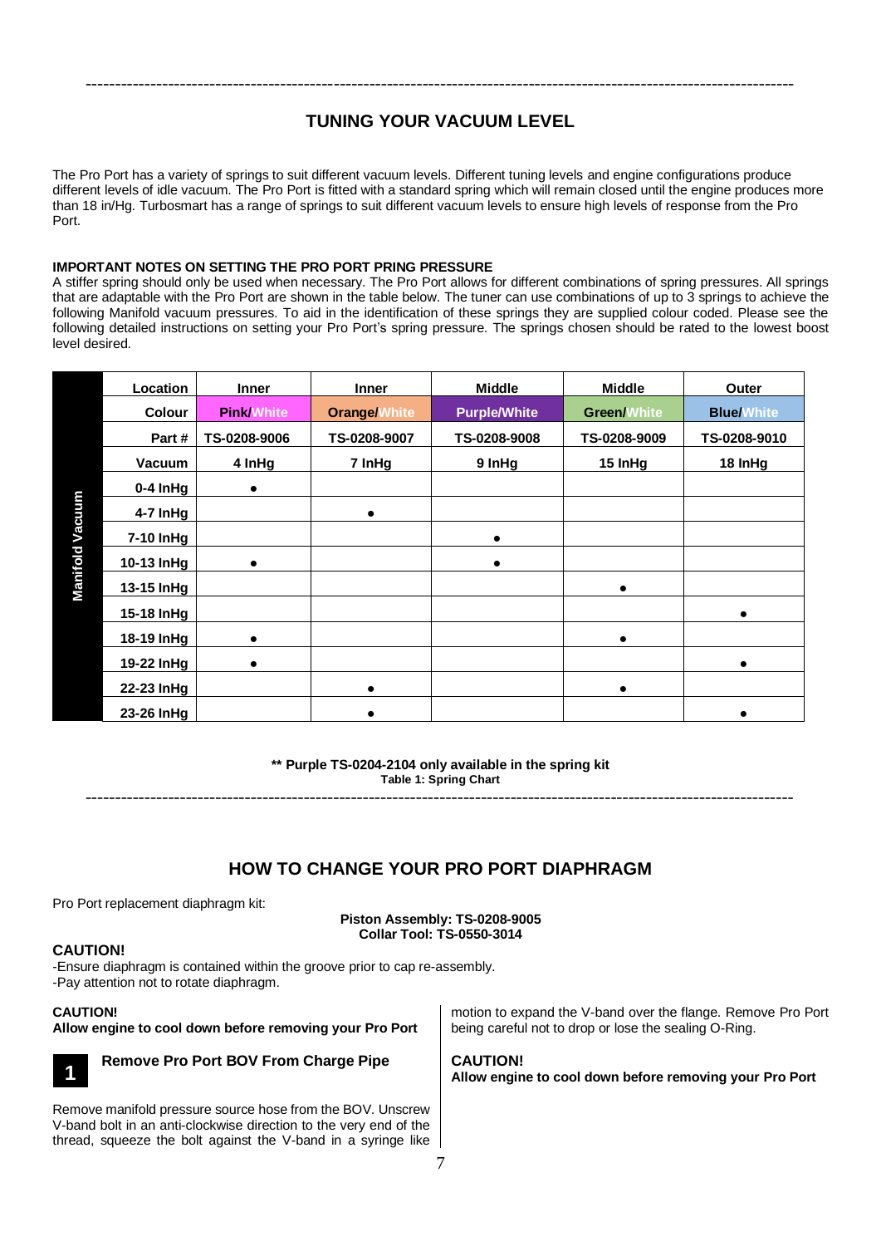# **TUNING YOUR VACUUM LEVEL**

<span id="page-6-0"></span>------------------------------------------------------------------------------------------------------------------------

The Pro Port has a variety of springs to suit different vacuum levels. Different tuning levels and engine configurations produce different levels of idle vacuum. The Pro Port is fitted with a standard spring which will remain closed until the engine produces more than 18 in/Hg. Turbosmart has a range of springs to suit different vacuum levels to ensure high levels of response from the Pro Port.

## **IMPORTANT NOTES ON SETTING THE PRO PORT PRING PRESSURE**

A stiffer spring should only be used when necessary. The Pro Port allows for different combinations of spring pressures. All springs that are adaptable with the Pro Port are shown in the table below. The tuner can use combinations of up to 3 springs to achieve the following Manifold vacuum pressures. To aid in the identification of these springs they are supplied colour coded. Please see the following detailed instructions on setting your Pro Port's spring pressure. The springs chosen should be rated to the lowest boost level desired.

|                        | Location      | <b>Inner</b>      | <b>Inner</b>        | <b>Middle</b>       | <b>Middle</b>      | Outer             |
|------------------------|---------------|-------------------|---------------------|---------------------|--------------------|-------------------|
| <b>Manifold Vacuum</b> | <b>Colour</b> | <b>Pink/White</b> | <b>Orange/White</b> | <b>Purple/White</b> | <b>Green/White</b> | <b>Blue/White</b> |
|                        | Part#         | TS-0208-9006      | TS-0208-9007        | TS-0208-9008        | TS-0208-9009       | TS-0208-9010      |
|                        | Vacuum        | 4 InHg            | 7 InHg              | 9 InHg              | 15 InHg            | 18 InHg           |
|                        | $0-4$ InHg    | $\bullet$         |                     |                     |                    |                   |
|                        | 4-7 InHg      |                   | $\bullet$           |                     |                    |                   |
|                        | 7-10 InHg     |                   |                     |                     |                    |                   |
|                        | 10-13 InHg    |                   |                     |                     |                    |                   |
|                        | 13-15 InHg    |                   |                     |                     |                    |                   |
|                        | 15-18 InHg    |                   |                     |                     |                    |                   |
|                        | 18-19 InHg    | $\bullet$         |                     |                     | $\bullet$          |                   |
|                        | 19-22 InHg    | $\bullet$         |                     |                     |                    |                   |
|                        | 22-23 InHg    |                   | $\bullet$           |                     | $\bullet$          |                   |
|                        | 23-26 InHg    |                   |                     |                     |                    |                   |

**\*\* Purple TS-0204-2104 only available in the spring kit Table 1: Spring Chart**

------------------------------------------------------------------------------------------------------------------------

# **HOW TO CHANGE YOUR PRO PORT DIAPHRAGM**

<span id="page-6-1"></span>Pro Port replacement diaphragm kit:

**Piston Assembly: TS-0208-9005 Collar Tool: TS-0550-3014**

# **CAUTION!**

-Ensure diaphragm is contained within the groove prior to cap re-assembly. -Pay attention not to rotate diaphragm.

## **CAUTION!**

**Allow engine to cool down before removing your Pro Port**



# **Remove Pro Port BOV From Charge Pipe**

———<br>Remove manifold pressure source hose from the BOV. Unscrew V-band bolt in an anti-clockwise direction to the very end of the thread, squeeze the bolt against the V-band in a syringe like motion to expand the V-band over the flange. Remove Pro Port being careful not to drop or lose the sealing O-Ring.

**CAUTION! Allow engine to cool down before removing your Pro Port**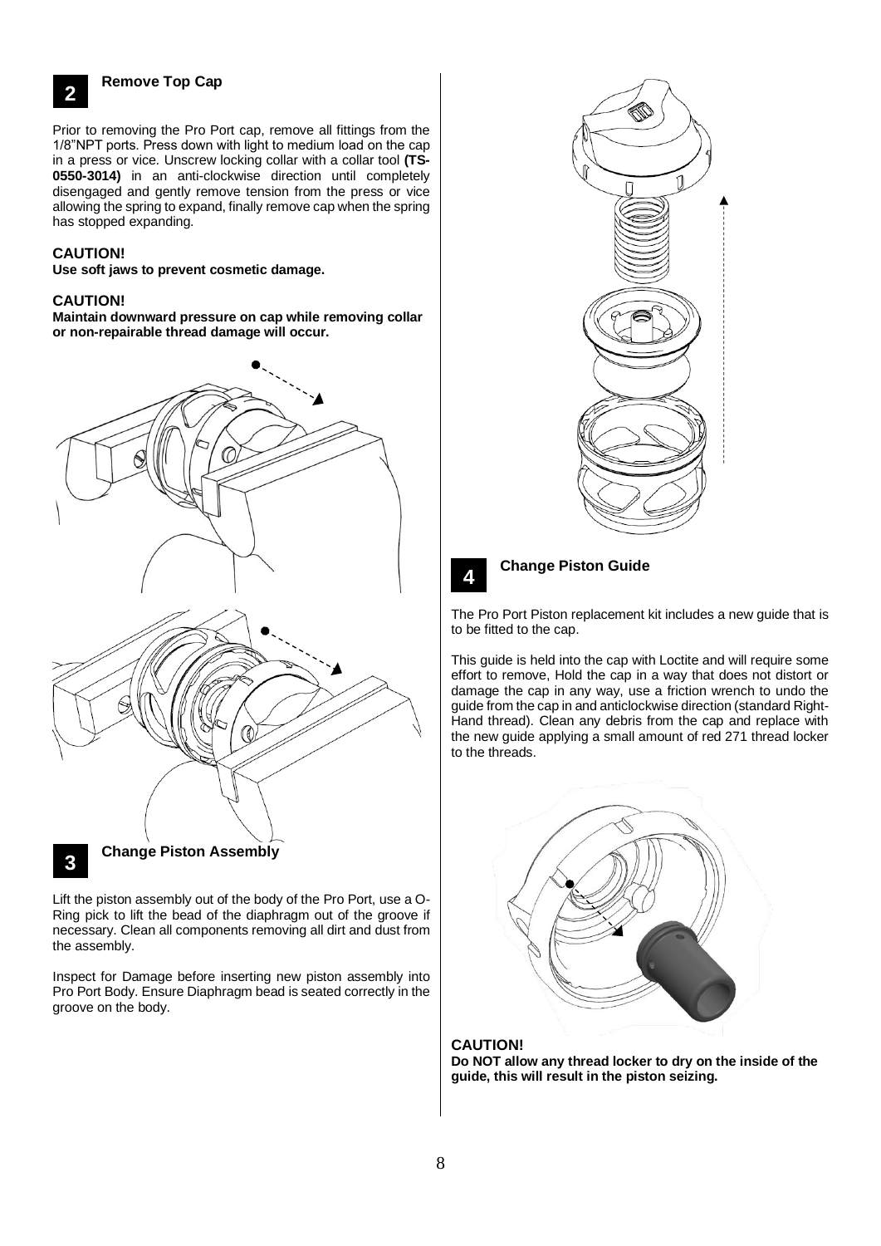**2**

## **Remove Top Cap**

Prior to removing the Pro Port cap, remove all fittings from the **3** 1/8"NPT ports. Press down with light to medium load on the cap in a press or vice. Unscrew locking collar with a collar tool **(TS-0550-3014)** in an anti-clockwise direction until completely disengaged and gently remove tension from the press or vice allowing the spring to expand, finally remove cap when the spring has stopped expanding.

### **CAUTION!**

**Use soft jaws to prevent cosmetic damage.** 

#### **CAUTION!**

**Maintain downward pressure on cap while removing collar or non-repairable thread damage will occur.**



Lift the piston assembly out of the body of the Pro Port, use a O-**3** Ring pick to lift the bead of the diaphragm out of the groove if necessary. Clean all components removing all dirt and dust from the assembly.

Inspect for Damage before inserting new piston assembly into Pro Port Body. Ensure Diaphragm bead is seated correctly in the groove on the body.



# **4**

#### **Change Piston Guide**

——<br>The Pro Port Piston replacement kit includes a new guide that is to be fitted to the cap.

This guide is held into the cap with Loctite and will require some effort to remove, Hold the cap in a way that does not distort or damage the cap in any way, use a friction wrench to undo the guide from the cap in and anticlockwise direction (standard Right-Hand thread). Clean any debris from the cap and replace with the new guide applying a small amount of red 271 thread locker to the threads.



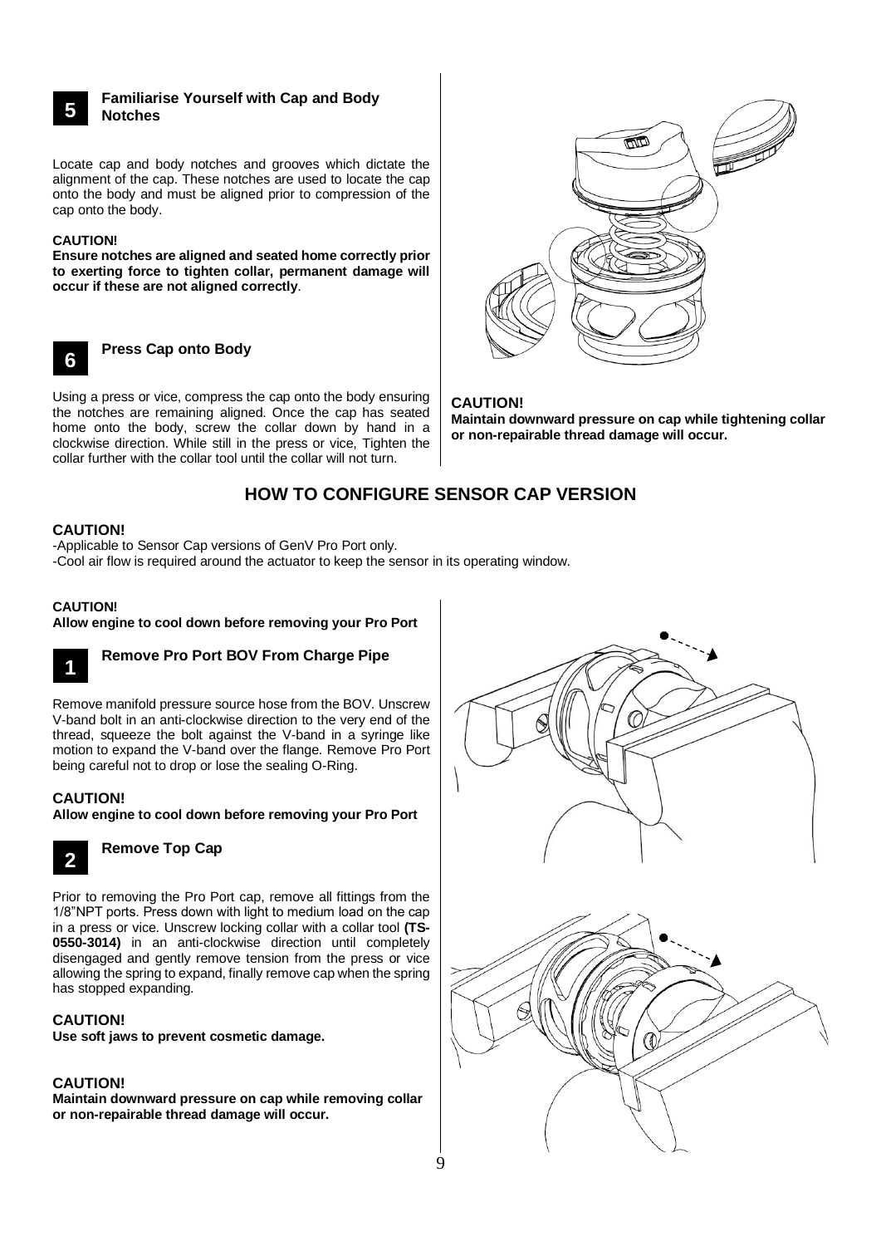### **Familiarise Yourself with Cap and Body Notches**

Locate cap and body notches and grooves which dictate the alignment of the cap. These notches are used to locate the cap onto the body and must be aligned prior to compression of the cap onto the body.

#### **CAUTION!**

**5 3**

**Ensure notches are aligned and seated home correctly prior to exerting force to tighten collar, permanent damage will occur if these are not aligned correctly**.



**Press Cap onto Body**

Using a press or vice, compress the cap onto the body ensuring **3** the notches are remaining aligned. Once the cap has seated home onto the body, screw the collar down by hand in a clockwise direction. While still in the press or vice, Tighten the collar further with the collar tool until the collar will not turn.



# **CAUTION!**

**Maintain downward pressure on cap while tightening collar or non-repairable thread damage will occur.**

# **HOW TO CONFIGURE SENSOR CAP VERSION**

## <span id="page-8-0"></span>**CAUTION!**

-Applicable to Sensor Cap versions of GenV Pro Port only.

-Cool air flow is required around the actuator to keep the sensor in its operating window.

#### **CAUTION!**

**Allow engine to cool down before removing your Pro Port**



# **Remove Pro Port BOV From Charge Pipe**

Remove manifold pressure source hose from the BOV. Unscrew **3** V-band bolt in an anti-clockwise direction to the very end of the thread, squeeze the bolt against the V-band in a syringe like motion to expand the V-band over the flange. Remove Pro Port being careful not to drop or lose the sealing O-Ring.

## **CAUTION!**

**Allow engine to cool down before removing your Pro Port**



# **Remove Top Cap**

Prior to removing the Pro Port cap, remove all fittings from the **3**1/8"NPT ports. Press down with light to medium load on the cap in a press or vice. Unscrew locking collar with a collar tool **(TS-0550-3014)** in an anti-clockwise direction until completely disengaged and gently remove tension from the press or vice allowing the spring to expand, finally remove cap when the spring has stopped expanding.

## **CAUTION!**

**Use soft jaws to prevent cosmetic damage.** 

## **CAUTION!**

**Maintain downward pressure on cap while removing collar or non-repairable thread damage will occur.**

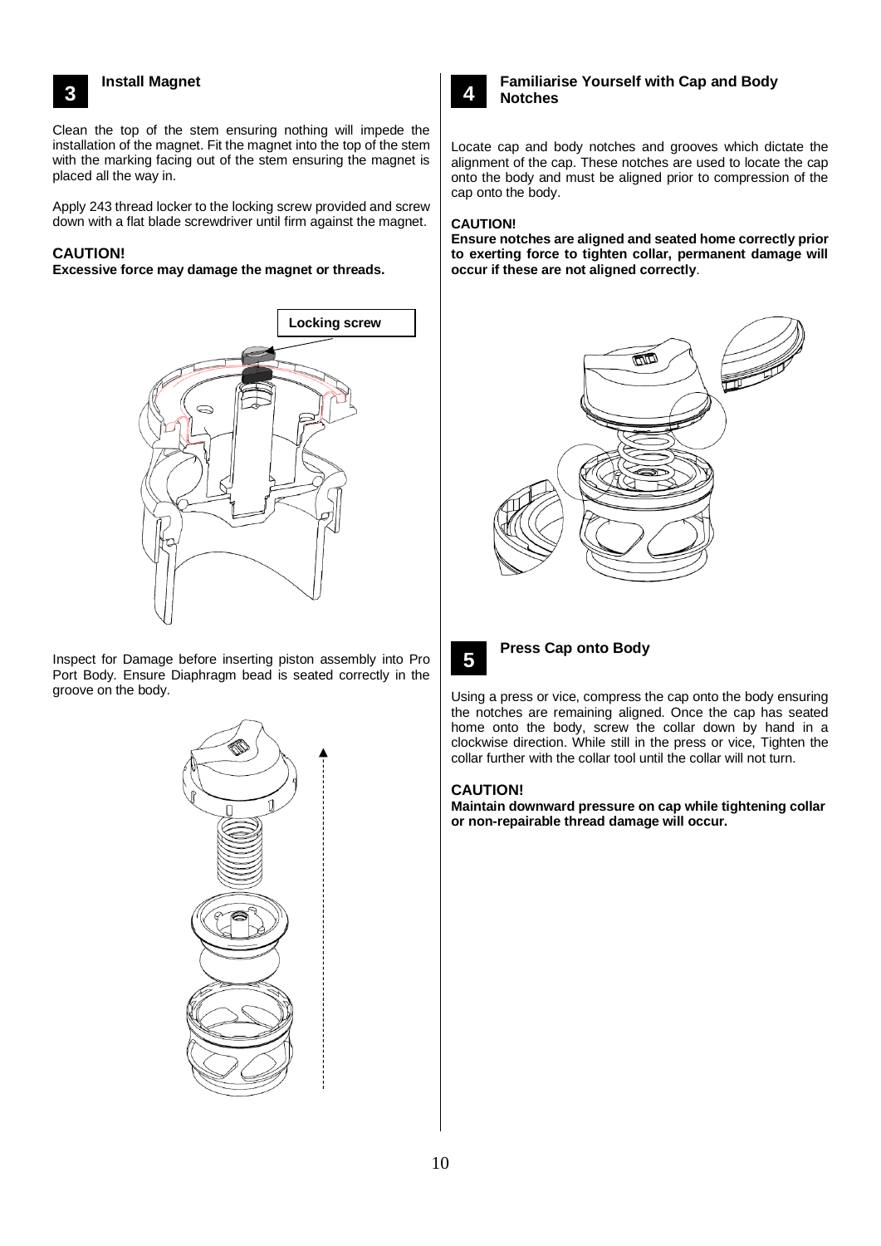# **Install Magnet**

Clean the top of the stem ensuring nothing will impede the **3** installation of the magnet. Fit the magnet into the top of the stem with the marking facing out of the stem ensuring the magnet is placed all the way in.

Apply 243 thread locker to the locking screw provided and screw down with a flat blade screwdriver until firm against the magnet.

# **CAUTION!**

**3**

#### **Excessive force may damage the magnet or threads.**



Inspect for Damage before inserting piston assembly into Pro Port Body. Ensure Diaphragm bead is seated correctly in the groove on the body.





**3**

# **Familiarise Yourself with Cap and Body Notches**

Locate cap and body notches and grooves which dictate the alignment of the cap. These notches are used to locate the cap onto the body and must be aligned prior to compression of the cap onto the body.

### **CAUTION!**

**Ensure notches are aligned and seated home correctly prior to exerting force to tighten collar, permanent damage will occur if these are not aligned correctly**.





**Press Cap onto Body**

Using a press or vice, compress the cap onto the body ensuring **3** the notches are remaining aligned. Once the cap has seated home onto the body, screw the collar down by hand in a clockwise direction. While still in the press or vice, Tighten the collar further with the collar tool until the collar will not turn.

## **CAUTION!**

**Maintain downward pressure on cap while tightening collar or non-repairable thread damage will occur.**

10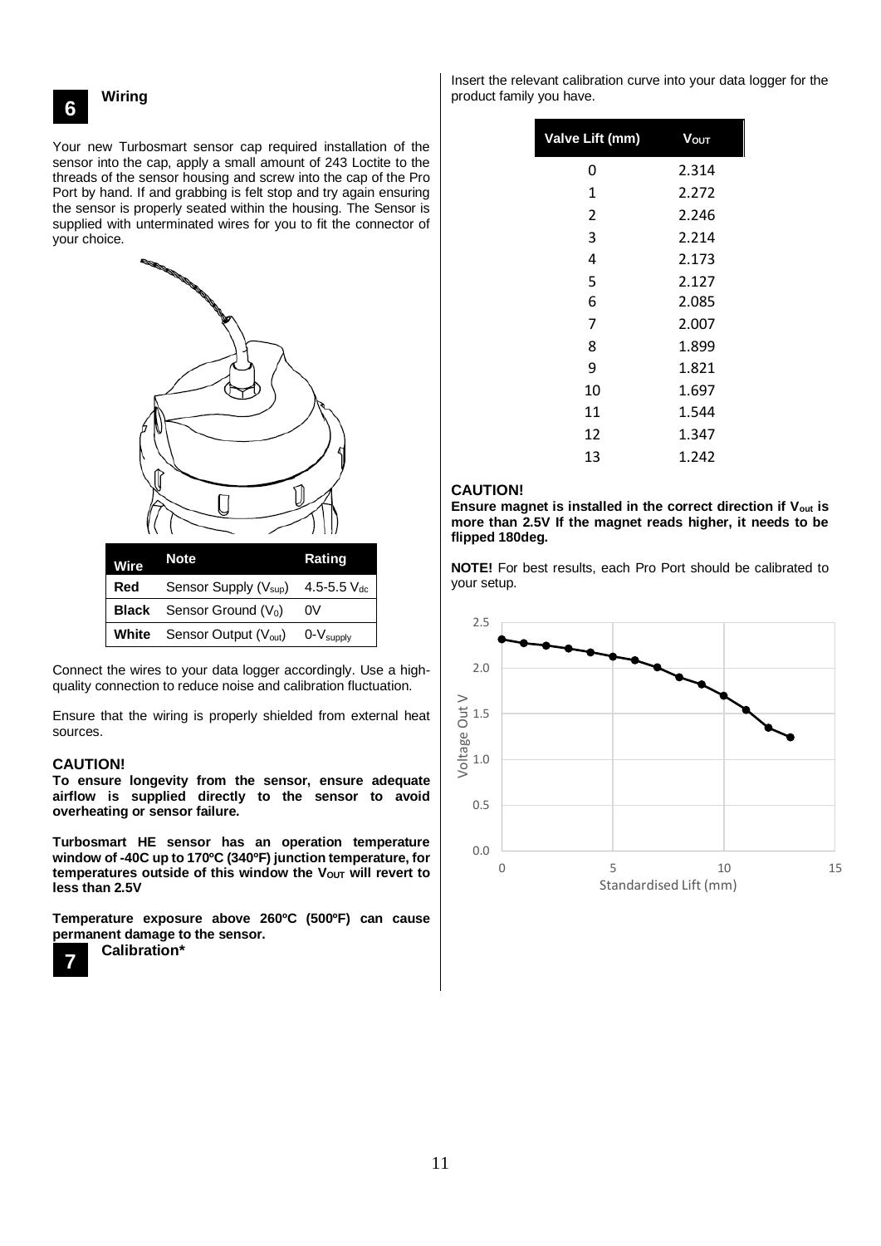**6**

#### **Wiring**

Your new Turbosmart sensor cap required installation of the **3** sensor into the cap, apply a small amount of 243 Loctite to the threads of the sensor housing and screw into the cap of the Pro Port by hand. If and grabbing is felt stop and try again ensuring the sensor is properly seated within the housing. The Sensor is supplied with unterminated wires for you to fit the connector of your choice.



Connect the wires to your data logger accordingly. Use a highquality connection to reduce noise and calibration fluctuation.

Ensure that the wiring is properly shielded from external heat sources.

#### **CAUTION!**

**To ensure longevity from the sensor, ensure adequate airflow is supplied directly to the sensor to avoid overheating or sensor failure.**

**Turbosmart HE sensor has an operation temperature window of -40C up to 170ºC (340ºF) junction temperature, for temperatures outside of this window the VOUT will revert to less than 2.5V** 

**Temperature exposure above 260ºC (500ºF) can cause permanent damage to the sensor. Calibration\***



Insert the relevant calibration curve into your data logger for the product family you have.

| Valve Lift (mm) | Vouт  |  |  |
|-----------------|-------|--|--|
| 0               | 2.314 |  |  |
| 1               | 2.272 |  |  |
| $\overline{2}$  | 2.246 |  |  |
| 3               | 2.214 |  |  |
| 4               | 2.173 |  |  |
| 5               | 2.127 |  |  |
| 6               | 2.085 |  |  |
| 7               | 2.007 |  |  |
| 8               | 1.899 |  |  |
| 9               | 1.821 |  |  |
| 10              | 1.697 |  |  |
| 11              | 1.544 |  |  |
| 12              | 1.347 |  |  |
| 13              | 1.242 |  |  |
|                 |       |  |  |

#### **CAUTION!**

**Ensure magnet is installed in the correct direction if Vout is more than 2.5V If the magnet reads higher, it needs to be flipped 180deg.**

**NOTE!** For best results, each Pro Port should be calibrated to your setup.